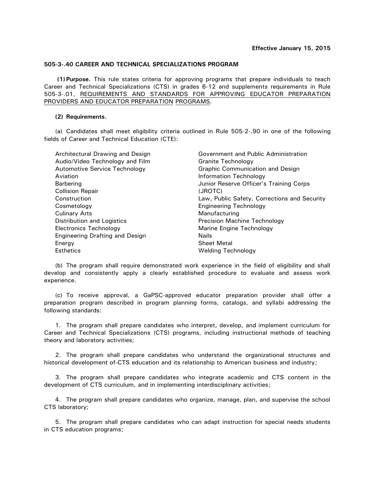## **505-3-.40 CAREER AND TECHNICAL SPECIALIZATIONS PROGRAM**

**(1) Purpose.** This rule states criteria for approving programs that prepare individuals to teach Career and Technical Specializations (CTS) in grades 6-12 and supplements requirements in Rule 505-3-.01, REQUIREMENTS AND STANDARDS FOR APPROVING EDUCATOR PREPARATION PROVIDERS AND EDUCATOR PREPARATION PROGRAMS.

## **(2) Requirements.**

(a) Candidates shall meet eligibility criteria outlined in Rule 505-2-.90 in one of the following fields of Career and Technical Education (CTE):

| Architectural Drawing and Design       | Government and Public Administration         |
|----------------------------------------|----------------------------------------------|
| Audio/Video Technology and Film        | Granite Technology                           |
| <b>Automotive Service Technology</b>   | Graphic Communication and Design             |
| Aviation                               | Information Technology                       |
| Barbering                              | Junior Reserve Officer's Training Corps      |
| <b>Collision Repair</b>                | (JROTC)                                      |
| Construction                           | Law, Public Safety, Corrections and Security |
| Cosmetology                            | <b>Engineering Technology</b>                |
| <b>Culinary Arts</b>                   | Manufacturing                                |
| Distribution and Logistics             | Precision Machine Technology                 |
| <b>Electronics Technology</b>          | Marine Engine Technology                     |
| <b>Engineering Drafting and Design</b> | Nails                                        |
| Energy                                 | <b>Sheet Metal</b>                           |
| <b>Esthetics</b>                       | Welding Technology                           |

(b) The program shall require demonstrated work experience in the field of eligibility and shall develop and consistently apply a clearly established procedure to evaluate and assess work experience.

(c) To receive approval, a GaPSC-approved educator preparation provider shall offer a preparation program described in program planning forms, catalogs, and syllabi addressing the following standards:

1. The program shall prepare candidates who interpret, develop, and implement curriculum for Career and Technical Specializations (CTS) programs, including instructional methods of teaching theory and laboratory activities;

2. The program shall prepare candidates who understand the organizational structures and historical development of-CTS education and its relationship to American business and industry;

3. The program shall prepare candidates who integrate academic and CTS content in the development of CTS curriculum, and in implementing interdisciplinary activities;

4. The program shall prepare candidates who organize, manage, plan, and supervise the school CTS laboratory;

5. The program shall prepare candidates who can adapt instruction for special needs students in CTS education programs;